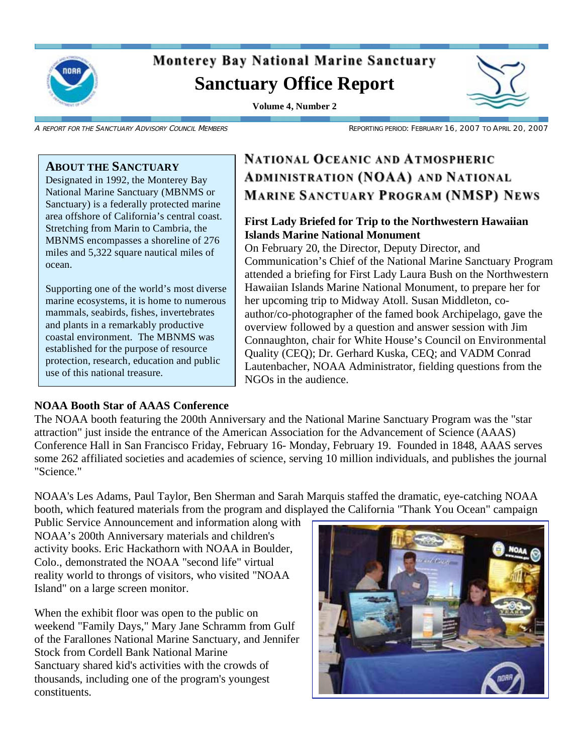

# **Monterey Bay National Marine Sanctuary Sanctuary Office Report**

**Volume 4, Number 2** 



A REPORT FOR THE SANCTUARY ADVISORY COUNCIL MEMBERS REPORTING PERIOD: FEBRUARY 16, 2007 TO APRIL 20, 2007

#### **ABOUT THE SANCTUARY**

Designated in 1992, the Monterey Bay National Marine Sanctuary (MBNMS or Sanctuary) is a federally protected marine area offshore of California's central coast. Stretching from Marin to Cambria, the MBNMS encompasses a shoreline of 276 miles and 5,322 square nautical miles of ocean.

Supporting one of the world's most diverse marine ecosystems, it is home to numerous mammals, seabirds, fishes, invertebrates and plants in a remarkably productive coastal environment. The MBNMS was established for the purpose of resource protection, research, education and public use of this national treasure.

#### **NOAA Booth Star of AAAS Conference**

# **NATIONAL OCEANIC AND ATMOSPHERIC ADMINISTRATION (NOAA) AND NATIONAL MARINE SANCTUARY PROGRAM (NMSP) NEWS**

### **First Lady Briefed for Trip to the Northwestern Hawaiian Islands Marine National Monument**

On February 20, the Director, Deputy Director, and Communication's Chief of the National Marine Sanctuary Program attended a briefing for First Lady Laura Bush on the Northwestern Hawaiian Islands Marine National Monument, to prepare her for her upcoming trip to Midway Atoll. Susan Middleton, coauthor/co-photographer of the famed book Archipelago, gave the overview followed by a question and answer session with Jim Connaughton, chair for White House's Council on Environmental Quality (CEQ); Dr. Gerhard Kuska, CEQ; and VADM Conrad Lautenbacher, NOAA Administrator, fielding questions from the NGOs in the audience.

The NOAA booth featuring the 200th Anniversary and the National Marine Sanctuary Program was the "star attraction" just inside the entrance of the American Association for the Advancement of Science (AAAS) Conference Hall in San Francisco Friday, February 16- Monday, February 19. Founded in 1848, AAAS serves some 262 affiliated societies and academies of science, serving 10 million individuals, and publishes the journal "Science."

NOAA's Les Adams, Paul Taylor, Ben Sherman and Sarah Marquis staffed the dramatic, eye-catching NOAA booth, which featured materials from the program and displayed the California "Thank You Ocean" campaign

Public Service Announcement and information along with NOAA's 200th Anniversary materials and children's activity books. Eric Hackathorn with NOAA in Boulder, Colo., demonstrated the NOAA "second life" virtual reality world to throngs of visitors, who visited "NOAA Island" on a large screen monitor.

When the exhibit floor was open to the public on weekend "Family Days," Mary Jane Schramm from Gulf of the Farallones National Marine Sanctuary, and Jennifer Stock from Cordell Bank National Marine Sanctuary shared kid's activities with the crowds of thousands, including one of the program's youngest constituents.

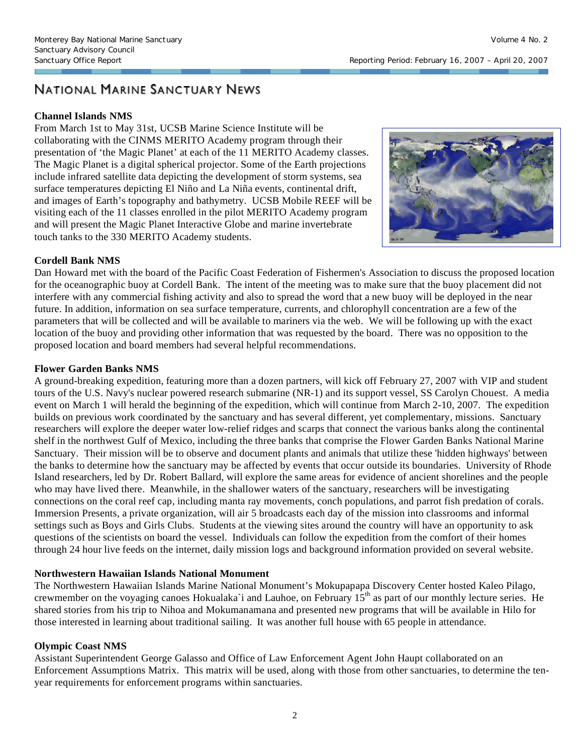## NATIONAL MARINE SANCTUARY NEWS

#### **Channel Islands NMS**

From March 1st to May 31st, UCSB Marine Science Institute will be collaborating with the CINMS MERITO Academy program through their presentation of 'the Magic Planet' at each of the 11 MERITO Academy classes. The Magic Planet is a digital spherical projector. Some of the Earth projections include infrared satellite data depicting the development of storm systems, sea surface temperatures depicting El Niño and La Niña events, continental drift, and images of Earth's topography and bathymetry. UCSB Mobile REEF will be visiting each of the 11 classes enrolled in the pilot MERITO Academy program and will present the Magic Planet Interactive Globe and marine invertebrate touch tanks to the 330 MERITO Academy students.



#### **Cordell Bank NMS**

Dan Howard met with the board of the Pacific Coast Federation of Fishermen's Association to discuss the proposed location for the oceanographic buoy at Cordell Bank. The intent of the meeting was to make sure that the buoy placement did not interfere with any commercial fishing activity and also to spread the word that a new buoy will be deployed in the near future. In addition, information on sea surface temperature, currents, and chlorophyll concentration are a few of the parameters that will be collected and will be available to mariners via the web. We will be following up with the exact location of the buoy and providing other information that was requested by the board. There was no opposition to the proposed location and board members had several helpful recommendations.

#### **Flower Garden Banks NMS**

A ground-breaking expedition, featuring more than a dozen partners, will kick off February 27, 2007 with VIP and student tours of the U.S. Navy's nuclear powered research submarine (NR-1) and its support vessel, SS Carolyn Chouest. A media event on March 1 will herald the beginning of the expedition, which will continue from March 2-10, 2007. The expedition builds on previous work coordinated by the sanctuary and has several different, yet complementary, missions. Sanctuary researchers will explore the deeper water low-relief ridges and scarps that connect the various banks along the continental shelf in the northwest Gulf of Mexico, including the three banks that comprise the Flower Garden Banks National Marine Sanctuary. Their mission will be to observe and document plants and animals that utilize these 'hidden highways' between the banks to determine how the sanctuary may be affected by events that occur outside its boundaries. University of Rhode Island researchers, led by Dr. Robert Ballard, will explore the same areas for evidence of ancient shorelines and the people who may have lived there. Meanwhile, in the shallower waters of the sanctuary, researchers will be investigating connections on the coral reef cap, including manta ray movements, conch populations, and parrot fish predation of corals. Immersion Presents, a private organization, will air 5 broadcasts each day of the mission into classrooms and informal settings such as Boys and Girls Clubs. Students at the viewing sites around the country will have an opportunity to ask questions of the scientists on board the vessel. Individuals can follow the expedition from the comfort of their homes through 24 hour live feeds on the internet, daily mission logs and background information provided on several website.

#### **Northwestern Hawaiian Islands National Monument**

The Northwestern Hawaiian Islands Marine National Monument's Mokupapapa Discovery Center hosted Kaleo Pilago, crewmember on the voyaging canoes Hokualaka'i and Lauhoe, on February  $15<sup>th</sup>$  as part of our monthly lecture series. He shared stories from his trip to Nihoa and Mokumanamana and presented new programs that will be available in Hilo for those interested in learning about traditional sailing. It was another full house with 65 people in attendance.

#### **Olympic Coast NMS**

Assistant Superintendent George Galasso and Office of Law Enforcement Agent John Haupt collaborated on an Enforcement Assumptions Matrix. This matrix will be used, along with those from other sanctuaries, to determine the tenyear requirements for enforcement programs within sanctuaries.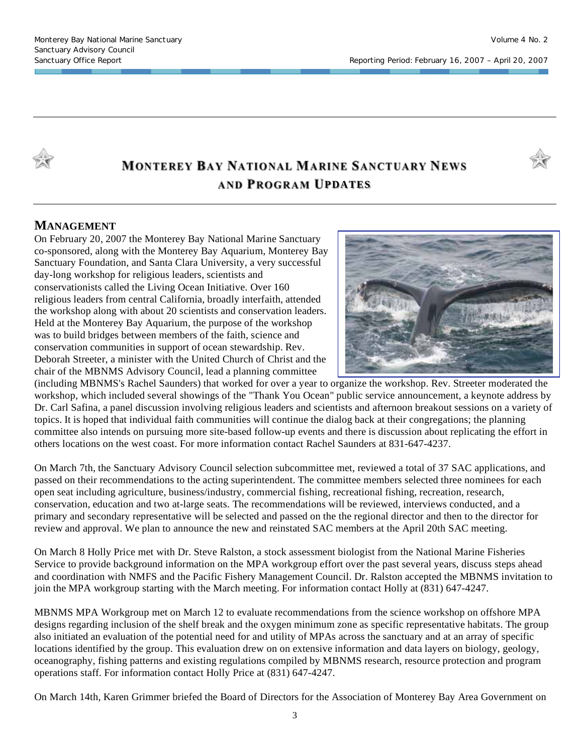

# **MONTEREY BAY NATIONAL MARINE SANCTUARY NEWS AND PROGRAM UPDATES**



#### **MANAGEMENT**

On February 20, 2007 the Monterey Bay National Marine Sanctuary co-sponsored, along with the Monterey Bay Aquarium, Monterey Bay Sanctuary Foundation, and Santa Clara University, a very successful day-long workshop for religious leaders, scientists and conservationists called the Living Ocean Initiative. Over 160 religious leaders from central California, broadly interfaith, attended the workshop along with about 20 scientists and conservation leaders. Held at the Monterey Bay Aquarium, the purpose of the workshop was to build bridges between members of the faith, science and conservation communities in support of ocean stewardship. Rev. Deborah Streeter, a minister with the United Church of Christ and the chair of the MBNMS Advisory Council, lead a planning committee



(including MBNMS's Rachel Saunders) that worked for over a year to organize the workshop. Rev. Streeter moderated the workshop, which included several showings of the "Thank You Ocean" public service announcement, a keynote address by Dr. Carl Safina, a panel discussion involving religious leaders and scientists and afternoon breakout sessions on a variety of topics. It is hoped that individual faith communities will continue the dialog back at their congregations; the planning committee also intends on pursuing more site-based follow-up events and there is discussion about replicating the effort in others locations on the west coast. For more information contact Rachel Saunders at 831-647-4237.

On March 7th, the Sanctuary Advisory Council selection subcommittee met, reviewed a total of 37 SAC applications, and passed on their recommendations to the acting superintendent. The committee members selected three nominees for each open seat including agriculture, business/industry, commercial fishing, recreational fishing, recreation, research, conservation, education and two at-large seats. The recommendations will be reviewed, interviews conducted, and a primary and secondary representative will be selected and passed on the the regional director and then to the director for review and approval. We plan to announce the new and reinstated SAC members at the April 20th SAC meeting.

On March 8 Holly Price met with Dr. Steve Ralston, a stock assessment biologist from the National Marine Fisheries Service to provide background information on the MPA workgroup effort over the past several years, discuss steps ahead and coordination with NMFS and the Pacific Fishery Management Council. Dr. Ralston accepted the MBNMS invitation to join the MPA workgroup starting with the March meeting. For information contact Holly at (831) 647-4247.

MBNMS MPA Workgroup met on March 12 to evaluate recommendations from the science workshop on offshore MPA designs regarding inclusion of the shelf break and the oxygen minimum zone as specific representative habitats. The group also initiated an evaluation of the potential need for and utility of MPAs across the sanctuary and at an array of specific locations identified by the group. This evaluation drew on on extensive information and data layers on biology, geology, oceanography, fishing patterns and existing regulations compiled by MBNMS research, resource protection and program operations staff. For information contact Holly Price at (831) 647-4247.

On March 14th, Karen Grimmer briefed the Board of Directors for the Association of Monterey Bay Area Government on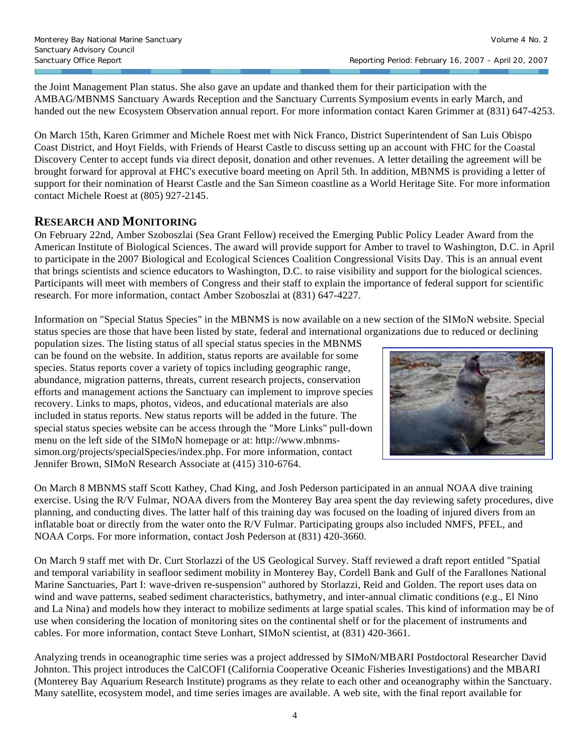the Joint Management Plan status. She also gave an update and thanked them for their participation with the AMBAG/MBNMS Sanctuary Awards Reception and the Sanctuary Currents Symposium events in early March, and handed out the new Ecosystem Observation annual report. For more information contact Karen Grimmer at (831) 647-4253.

On March 15th, Karen Grimmer and Michele Roest met with Nick Franco, District Superintendent of San Luis Obispo Coast District, and Hoyt Fields, with Friends of Hearst Castle to discuss setting up an account with FHC for the Coastal Discovery Center to accept funds via direct deposit, donation and other revenues. A letter detailing the agreement will be brought forward for approval at FHC's executive board meeting on April 5th. In addition, MBNMS is providing a letter of support for their nomination of Hearst Castle and the San Simeon coastline as a World Heritage Site. For more information contact Michele Roest at (805) 927-2145.

#### **RESEARCH AND MONITORING**

On February 22nd, Amber Szoboszlai (Sea Grant Fellow) received the Emerging Public Policy Leader Award from the American Institute of Biological Sciences. The award will provide support for Amber to travel to Washington, D.C. in April to participate in the 2007 Biological and Ecological Sciences Coalition Congressional Visits Day. This is an annual event that brings scientists and science educators to Washington, D.C. to raise visibility and support for the biological sciences. Participants will meet with members of Congress and their staff to explain the importance of federal support for scientific research. For more information, contact Amber Szoboszlai at (831) 647-4227.

Information on "Special Status Species" in the MBNMS is now available on a new section of the SIMoN website. Special status species are those that have been listed by state, federal and international organizations due to reduced or declining

population sizes. The listing status of all special status species in the MBNMS can be found on the website. In addition, status reports are available for some species. Status reports cover a variety of topics including geographic range, abundance, migration patterns, threats, current research projects, conservation efforts and management actions the Sanctuary can implement to improve species recovery. Links to maps, photos, videos, and educational materials are also included in status reports. New status reports will be added in the future. The special status species website can be access through the "More Links" pull-down menu on the left side of the SIMoN homepage or at: http://www.mbnmssimon.org/projects/specialSpecies/index.php. For more information, contact Jennifer Brown, SIMoN Research Associate at (415) 310-6764.



On March 8 MBNMS staff Scott Kathey, Chad King, and Josh Pederson participated in an annual NOAA dive training exercise. Using the R/V Fulmar, NOAA divers from the Monterey Bay area spent the day reviewing safety procedures, dive planning, and conducting dives. The latter half of this training day was focused on the loading of injured divers from an inflatable boat or directly from the water onto the R/V Fulmar. Participating groups also included NMFS, PFEL, and NOAA Corps. For more information, contact Josh Pederson at (831) 420-3660.

On March 9 staff met with Dr. Curt Storlazzi of the US Geological Survey. Staff reviewed a draft report entitled "Spatial and temporal variability in seafloor sediment mobility in Monterey Bay, Cordell Bank and Gulf of the Farallones National Marine Sanctuaries, Part I: wave-driven re-suspension" authored by Storlazzi, Reid and Golden. The report uses data on wind and wave patterns, seabed sediment characteristics, bathymetry, and inter-annual climatic conditions (e.g., El Nino and La Nina) and models how they interact to mobilize sediments at large spatial scales. This kind of information may be of use when considering the location of monitoring sites on the continental shelf or for the placement of instruments and cables. For more information, contact Steve Lonhart, SIMoN scientist, at (831) 420-3661.

Analyzing trends in oceanographic time series was a project addressed by SIMoN/MBARI Postdoctoral Researcher David Johnton. This project introduces the CalCOFI (California Cooperative Oceanic Fisheries Investigations) and the MBARI (Monterey Bay Aquarium Research Institute) programs as they relate to each other and oceanography within the Sanctuary. Many satellite, ecosystem model, and time series images are available. A web site, with the final report available for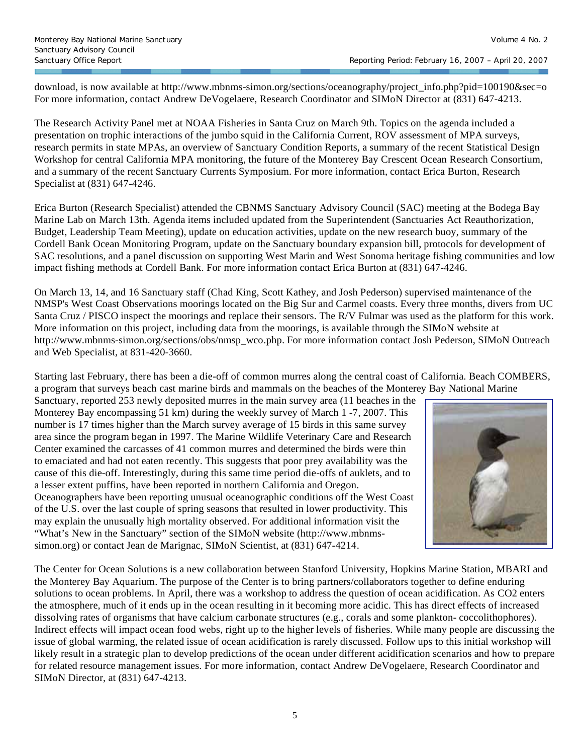download, is now available at http://www.mbnms-simon.org/sections/oceanography/project\_info.php?pid=100190&sec=o For more information, contact Andrew DeVogelaere, Research Coordinator and SIMoN Director at (831) 647-4213.

The Research Activity Panel met at NOAA Fisheries in Santa Cruz on March 9th. Topics on the agenda included a presentation on trophic interactions of the jumbo squid in the California Current, ROV assessment of MPA surveys, research permits in state MPAs, an overview of Sanctuary Condition Reports, a summary of the recent Statistical Design Workshop for central California MPA monitoring, the future of the Monterey Bay Crescent Ocean Research Consortium, and a summary of the recent Sanctuary Currents Symposium. For more information, contact Erica Burton, Research Specialist at (831) 647-4246.

Erica Burton (Research Specialist) attended the CBNMS Sanctuary Advisory Council (SAC) meeting at the Bodega Bay Marine Lab on March 13th. Agenda items included updated from the Superintendent (Sanctuaries Act Reauthorization, Budget, Leadership Team Meeting), update on education activities, update on the new research buoy, summary of the Cordell Bank Ocean Monitoring Program, update on the Sanctuary boundary expansion bill, protocols for development of SAC resolutions, and a panel discussion on supporting West Marin and West Sonoma heritage fishing communities and low impact fishing methods at Cordell Bank. For more information contact Erica Burton at (831) 647-4246.

On March 13, 14, and 16 Sanctuary staff (Chad King, Scott Kathey, and Josh Pederson) supervised maintenance of the NMSP's West Coast Observations moorings located on the Big Sur and Carmel coasts. Every three months, divers from UC Santa Cruz / PISCO inspect the moorings and replace their sensors. The R/V Fulmar was used as the platform for this work. More information on this project, including data from the moorings, is available through the SIMoN website at http://www.mbnms-simon.org/sections/obs/nmsp\_wco.php. For more information contact Josh Pederson, SIMoN Outreach and Web Specialist, at 831-420-3660.

Starting last February, there has been a die-off of common murres along the central coast of California. Beach COMBERS, a program that surveys beach cast marine birds and mammals on the beaches of the Monterey Bay National Marine

Sanctuary, reported 253 newly deposited murres in the main survey area (11 beaches in the Monterey Bay encompassing 51 km) during the weekly survey of March 1 -7, 2007. This number is 17 times higher than the March survey average of 15 birds in this same survey area since the program began in 1997. The Marine Wildlife Veterinary Care and Research Center examined the carcasses of 41 common murres and determined the birds were thin to emaciated and had not eaten recently. This suggests that poor prey availability was the cause of this die-off. Interestingly, during this same time period die-offs of auklets, and to a lesser extent puffins, have been reported in northern California and Oregon. Oceanographers have been reporting unusual oceanographic conditions off the West Coast of the U.S. over the last couple of spring seasons that resulted in lower productivity. This may explain the unusually high mortality observed. For additional information visit the "What's New in the Sanctuary" section of the SIMoN website (http://www.mbnmssimon.org) or contact Jean de Marignac, SIMoN Scientist, at (831) 647-4214.



The Center for Ocean Solutions is a new collaboration between Stanford University, Hopkins Marine Station, MBARI and the Monterey Bay Aquarium. The purpose of the Center is to bring partners/collaborators together to define enduring solutions to ocean problems. In April, there was a workshop to address the question of ocean acidification. As CO2 enters the atmosphere, much of it ends up in the ocean resulting in it becoming more acidic. This has direct effects of increased dissolving rates of organisms that have calcium carbonate structures (e.g., corals and some plankton- coccolithophores). Indirect effects will impact ocean food webs, right up to the higher levels of fisheries. While many people are discussing the issue of global warming, the related issue of ocean acidification is rarely discussed. Follow ups to this initial workshop will likely result in a strategic plan to develop predictions of the ocean under different acidification scenarios and how to prepare for related resource management issues. For more information, contact Andrew DeVogelaere, Research Coordinator and SIMoN Director, at (831) 647-4213.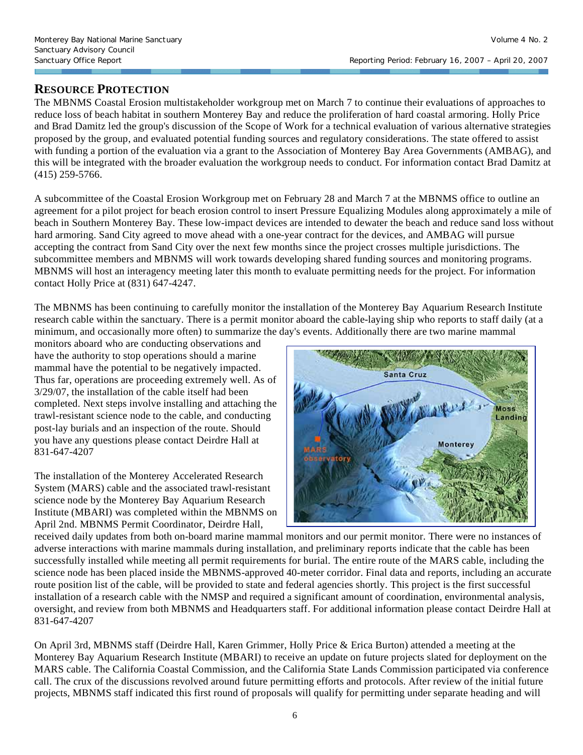### **RESOURCE PROTECTION**

The MBNMS Coastal Erosion multistakeholder workgroup met on March 7 to continue their evaluations of approaches to reduce loss of beach habitat in southern Monterey Bay and reduce the proliferation of hard coastal armoring. Holly Price and Brad Damitz led the group's discussion of the Scope of Work for a technical evaluation of various alternative strategies proposed by the group, and evaluated potential funding sources and regulatory considerations. The state offered to assist with funding a portion of the evaluation via a grant to the Association of Monterey Bay Area Governments (AMBAG), and this will be integrated with the broader evaluation the workgroup needs to conduct. For information contact Brad Damitz at (415) 259-5766.

A subcommittee of the Coastal Erosion Workgroup met on February 28 and March 7 at the MBNMS office to outline an agreement for a pilot project for beach erosion control to insert Pressure Equalizing Modules along approximately a mile of beach in Southern Monterey Bay. These low-impact devices are intended to dewater the beach and reduce sand loss without hard armoring. Sand City agreed to move ahead with a one-year contract for the devices, and AMBAG will pursue accepting the contract from Sand City over the next few months since the project crosses multiple jurisdictions. The subcommittee members and MBNMS will work towards developing shared funding sources and monitoring programs. MBNMS will host an interagency meeting later this month to evaluate permitting needs for the project. For information contact Holly Price at (831) 647-4247.

The MBNMS has been continuing to carefully monitor the installation of the Monterey Bay Aquarium Research Institute research cable within the sanctuary. There is a permit monitor aboard the cable-laying ship who reports to staff daily (at a minimum, and occasionally more often) to summarize the day's events. Additionally there are two marine mammal

monitors aboard who are conducting observations and have the authority to stop operations should a marine mammal have the potential to be negatively impacted. Thus far, operations are proceeding extremely well. As of 3/29/07, the installation of the cable itself had been completed. Next steps involve installing and attaching the trawl-resistant science node to the cable, and conducting post-lay burials and an inspection of the route. Should you have any questions please contact Deirdre Hall at 831-647-4207

The installation of the Monterey Accelerated Research System (MARS) cable and the associated trawl-resistant science node by the Monterey Bay Aquarium Research Institute (MBARI) was completed within the MBNMS on April 2nd. MBNMS Permit Coordinator, Deirdre Hall,



received daily updates from both on-board marine mammal monitors and our permit monitor. There were no instances of adverse interactions with marine mammals during installation, and preliminary reports indicate that the cable has been successfully installed while meeting all permit requirements for burial. The entire route of the MARS cable, including the science node has been placed inside the MBNMS-approved 40-meter corridor. Final data and reports, including an accurate route position list of the cable, will be provided to state and federal agencies shortly. This project is the first successful installation of a research cable with the NMSP and required a significant amount of coordination, environmental analysis, oversight, and review from both MBNMS and Headquarters staff. For additional information please contact Deirdre Hall at 831-647-4207

On April 3rd, MBNMS staff (Deirdre Hall, Karen Grimmer, Holly Price & Erica Burton) attended a meeting at the Monterey Bay Aquarium Research Institute (MBARI) to receive an update on future projects slated for deployment on the MARS cable. The California Coastal Commission, and the California State Lands Commission participated via conference call. The crux of the discussions revolved around future permitting efforts and protocols. After review of the initial future projects, MBNMS staff indicated this first round of proposals will qualify for permitting under separate heading and will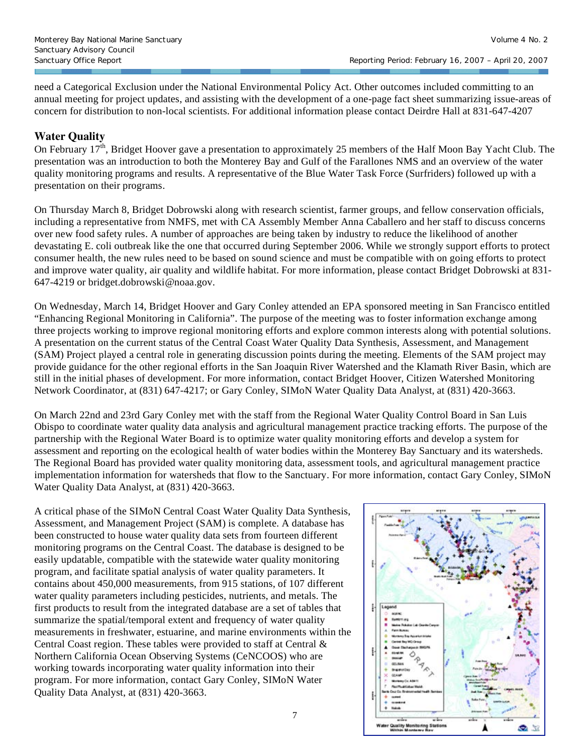need a Categorical Exclusion under the National Environmental Policy Act. Other outcomes included committing to an annual meeting for project updates, and assisting with the development of a one-page fact sheet summarizing issue-areas of concern for distribution to non-local scientists. For additional information please contact Deirdre Hall at 831-647-4207

#### **Water Quality**

On February  $17<sup>th</sup>$ , Bridget Hoover gave a presentation to approximately 25 members of the Half Moon Bay Yacht Club. The presentation was an introduction to both the Monterey Bay and Gulf of the Farallones NMS and an overview of the water quality monitoring programs and results. A representative of the Blue Water Task Force (Surfriders) followed up with a presentation on their programs.

On Thursday March 8, Bridget Dobrowski along with research scientist, farmer groups, and fellow conservation officials, including a representative from NMFS, met with CA Assembly Member Anna Caballero and her staff to discuss concerns over new food safety rules. A number of approaches are being taken by industry to reduce the likelihood of another devastating E. coli outbreak like the one that occurred during September 2006. While we strongly support efforts to protect consumer health, the new rules need to be based on sound science and must be compatible with on going efforts to protect and improve water quality, air quality and wildlife habitat. For more information, please contact Bridget Dobrowski at 831- 647-4219 or bridget.dobrowski@noaa.gov.

On Wednesday, March 14, Bridget Hoover and Gary Conley attended an EPA sponsored meeting in San Francisco entitled "Enhancing Regional Monitoring in California". The purpose of the meeting was to foster information exchange among three projects working to improve regional monitoring efforts and explore common interests along with potential solutions. A presentation on the current status of the Central Coast Water Quality Data Synthesis, Assessment, and Management (SAM) Project played a central role in generating discussion points during the meeting. Elements of the SAM project may provide guidance for the other regional efforts in the San Joaquin River Watershed and the Klamath River Basin, which are still in the initial phases of development. For more information, contact Bridget Hoover, Citizen Watershed Monitoring Network Coordinator, at (831) 647-4217; or Gary Conley, SIMoN Water Quality Data Analyst, at (831) 420-3663.

On March 22nd and 23rd Gary Conley met with the staff from the Regional Water Quality Control Board in San Luis Obispo to coordinate water quality data analysis and agricultural management practice tracking efforts. The purpose of the partnership with the Regional Water Board is to optimize water quality monitoring efforts and develop a system for assessment and reporting on the ecological health of water bodies within the Monterey Bay Sanctuary and its watersheds. The Regional Board has provided water quality monitoring data, assessment tools, and agricultural management practice implementation information for watersheds that flow to the Sanctuary. For more information, contact Gary Conley, SIMoN Water Quality Data Analyst, at (831) 420-3663.

A critical phase of the SIMoN Central Coast Water Quality Data Synthesis, Assessment, and Management Project (SAM) is complete. A database has been constructed to house water quality data sets from fourteen different monitoring programs on the Central Coast. The database is designed to be easily updatable, compatible with the statewide water quality monitoring program, and facilitate spatial analysis of water quality parameters. It contains about 450,000 measurements, from 915 stations, of 107 different water quality parameters including pesticides, nutrients, and metals. The first products to result from the integrated database are a set of tables that summarize the spatial/temporal extent and frequency of water quality measurements in freshwater, estuarine, and marine environments within the Central Coast region. These tables were provided to staff at Central & Northern California Ocean Observing Systems (CeNCOOS) who are working towards incorporating water quality information into their program. For more information, contact Gary Conley, SIMoN Water Quality Data Analyst, at (831) 420-3663.

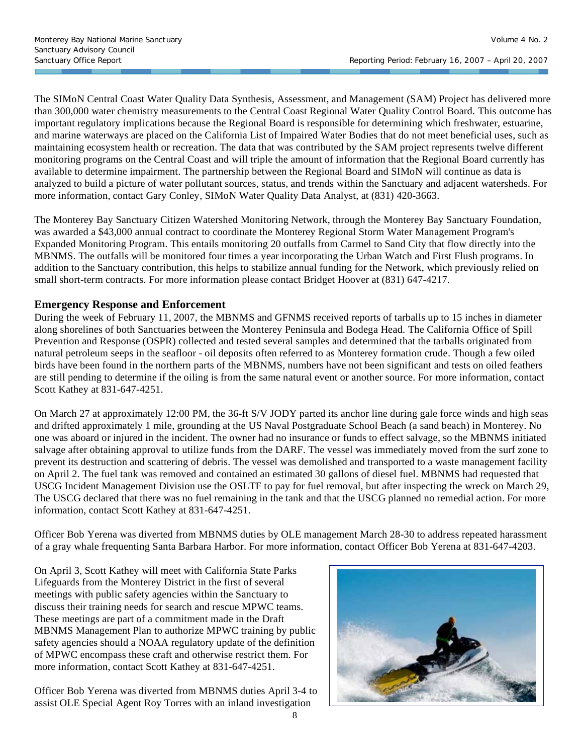The SIMoN Central Coast Water Quality Data Synthesis, Assessment, and Management (SAM) Project has delivered more than 300,000 water chemistry measurements to the Central Coast Regional Water Quality Control Board. This outcome has important regulatory implications because the Regional Board is responsible for determining which freshwater, estuarine, and marine waterways are placed on the California List of Impaired Water Bodies that do not meet beneficial uses, such as maintaining ecosystem health or recreation. The data that was contributed by the SAM project represents twelve different monitoring programs on the Central Coast and will triple the amount of information that the Regional Board currently has available to determine impairment. The partnership between the Regional Board and SIMoN will continue as data is analyzed to build a picture of water pollutant sources, status, and trends within the Sanctuary and adjacent watersheds. For more information, contact Gary Conley, SIMoN Water Quality Data Analyst, at (831) 420-3663.

The Monterey Bay Sanctuary Citizen Watershed Monitoring Network, through the Monterey Bay Sanctuary Foundation, was awarded a \$43,000 annual contract to coordinate the Monterey Regional Storm Water Management Program's Expanded Monitoring Program. This entails monitoring 20 outfalls from Carmel to Sand City that flow directly into the MBNMS. The outfalls will be monitored four times a year incorporating the Urban Watch and First Flush programs. In addition to the Sanctuary contribution, this helps to stabilize annual funding for the Network, which previously relied on small short-term contracts. For more information please contact Bridget Hoover at (831) 647-4217.

#### **Emergency Response and Enforcement**

During the week of February 11, 2007, the MBNMS and GFNMS received reports of tarballs up to 15 inches in diameter along shorelines of both Sanctuaries between the Monterey Peninsula and Bodega Head. The California Office of Spill Prevention and Response (OSPR) collected and tested several samples and determined that the tarballs originated from natural petroleum seeps in the seafloor - oil deposits often referred to as Monterey formation crude. Though a few oiled birds have been found in the northern parts of the MBNMS, numbers have not been significant and tests on oiled feathers are still pending to determine if the oiling is from the same natural event or another source. For more information, contact Scott Kathey at 831-647-4251.

On March 27 at approximately 12:00 PM, the 36-ft S/V JODY parted its anchor line during gale force winds and high seas and drifted approximately 1 mile, grounding at the US Naval Postgraduate School Beach (a sand beach) in Monterey. No one was aboard or injured in the incident. The owner had no insurance or funds to effect salvage, so the MBNMS initiated salvage after obtaining approval to utilize funds from the DARF. The vessel was immediately moved from the surf zone to prevent its destruction and scattering of debris. The vessel was demolished and transported to a waste management facility on April 2. The fuel tank was removed and contained an estimated 30 gallons of diesel fuel. MBNMS had requested that USCG Incident Management Division use the OSLTF to pay for fuel removal, but after inspecting the wreck on March 29, The USCG declared that there was no fuel remaining in the tank and that the USCG planned no remedial action. For more information, contact Scott Kathey at 831-647-4251.

Officer Bob Yerena was diverted from MBNMS duties by OLE management March 28-30 to address repeated harassment of a gray whale frequenting Santa Barbara Harbor. For more information, contact Officer Bob Yerena at 831-647-4203.

On April 3, Scott Kathey will meet with California State Parks Lifeguards from the Monterey District in the first of several meetings with public safety agencies within the Sanctuary to discuss their training needs for search and rescue MPWC teams. These meetings are part of a commitment made in the Draft MBNMS Management Plan to authorize MPWC training by public safety agencies should a NOAA regulatory update of the definition of MPWC encompass these craft and otherwise restrict them. For more information, contact Scott Kathey at 831-647-4251.

Officer Bob Yerena was diverted from MBNMS duties April 3-4 to assist OLE Special Agent Roy Torres with an inland investigation

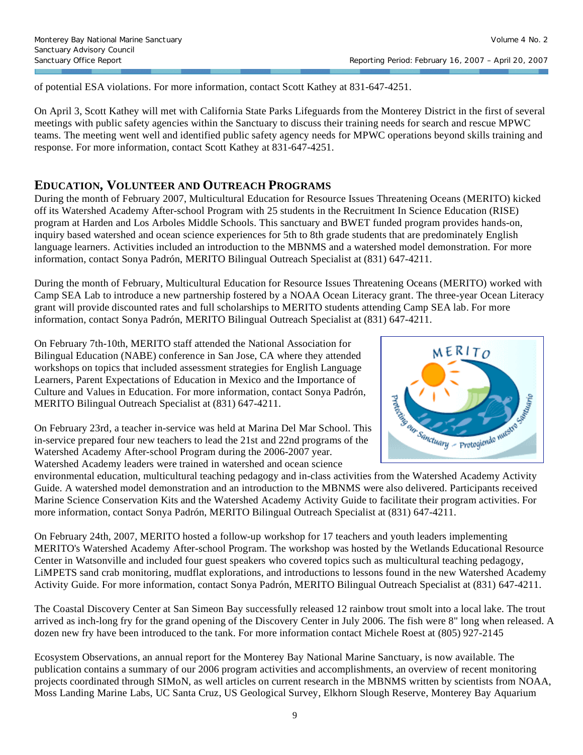of potential ESA violations. For more information, contact Scott Kathey at 831-647-4251.

On April 3, Scott Kathey will met with California State Parks Lifeguards from the Monterey District in the first of several meetings with public safety agencies within the Sanctuary to discuss their training needs for search and rescue MPWC teams. The meeting went well and identified public safety agency needs for MPWC operations beyond skills training and response. For more information, contact Scott Kathey at 831-647-4251.

#### **EDUCATION, VOLUNTEER AND OUTREACH PROGRAMS**

During the month of February 2007, Multicultural Education for Resource Issues Threatening Oceans (MERITO) kicked off its Watershed Academy After-school Program with 25 students in the Recruitment In Science Education (RISE) program at Harden and Los Arboles Middle Schools. This sanctuary and BWET funded program provides hands-on, inquiry based watershed and ocean science experiences for 5th to 8th grade students that are predominately English language learners. Activities included an introduction to the MBNMS and a watershed model demonstration. For more information, contact Sonya Padrón, MERITO Bilingual Outreach Specialist at (831) 647-4211.

During the month of February, Multicultural Education for Resource Issues Threatening Oceans (MERITO) worked with Camp SEA Lab to introduce a new partnership fostered by a NOAA Ocean Literacy grant. The three-year Ocean Literacy grant will provide discounted rates and full scholarships to MERITO students attending Camp SEA lab. For more information, contact Sonya Padrón, MERITO Bilingual Outreach Specialist at (831) 647-4211.

On February 7th-10th, MERITO staff attended the National Association for Bilingual Education (NABE) conference in San Jose, CA where they attended workshops on topics that included assessment strategies for English Language Learners, Parent Expectations of Education in Mexico and the Importance of Culture and Values in Education. For more information, contact Sonya Padrón, MERITO Bilingual Outreach Specialist at (831) 647-4211.

On February 23rd, a teacher in-service was held at Marina Del Mar School. This in-service prepared four new teachers to lead the 21st and 22nd programs of the Watershed Academy After-school Program during the 2006-2007 year. Watershed Academy leaders were trained in watershed and ocean science



environmental education, multicultural teaching pedagogy and in-class activities from the Watershed Academy Activity Guide. A watershed model demonstration and an introduction to the MBNMS were also delivered. Participants received Marine Science Conservation Kits and the Watershed Academy Activity Guide to facilitate their program activities. For more information, contact Sonya Padrón, MERITO Bilingual Outreach Specialist at (831) 647-4211.

On February 24th, 2007, MERITO hosted a follow-up workshop for 17 teachers and youth leaders implementing MERITO's Watershed Academy After-school Program. The workshop was hosted by the Wetlands Educational Resource Center in Watsonville and included four guest speakers who covered topics such as multicultural teaching pedagogy, LiMPETS sand crab monitoring, mudflat explorations, and introductions to lessons found in the new Watershed Academy Activity Guide. For more information, contact Sonya Padrón, MERITO Bilingual Outreach Specialist at (831) 647-4211.

The Coastal Discovery Center at San Simeon Bay successfully released 12 rainbow trout smolt into a local lake. The trout arrived as inch-long fry for the grand opening of the Discovery Center in July 2006. The fish were 8" long when released. A dozen new fry have been introduced to the tank. For more information contact Michele Roest at (805) 927-2145

Ecosystem Observations, an annual report for the Monterey Bay National Marine Sanctuary, is now available. The publication contains a summary of our 2006 program activities and accomplishments, an overview of recent monitoring projects coordinated through SIMoN, as well articles on current research in the MBNMS written by scientists from NOAA, Moss Landing Marine Labs, UC Santa Cruz, US Geological Survey, Elkhorn Slough Reserve, Monterey Bay Aquarium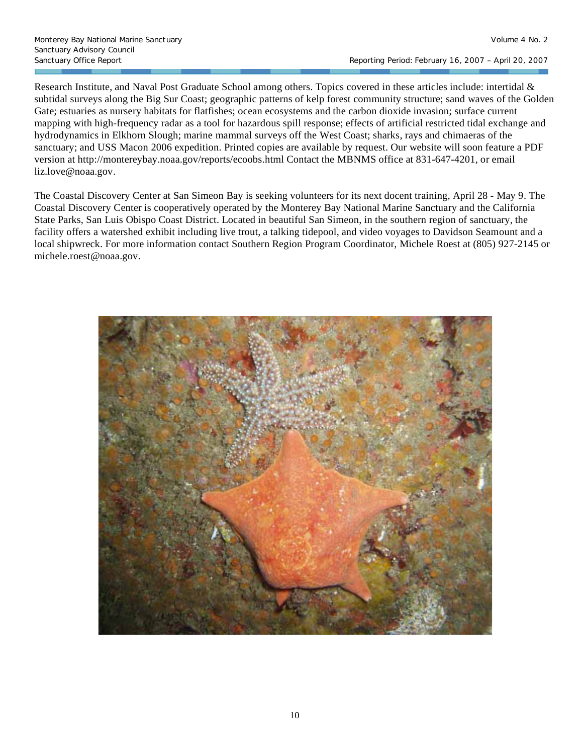Research Institute, and Naval Post Graduate School among others. Topics covered in these articles include: intertidal & subtidal surveys along the Big Sur Coast; geographic patterns of kelp forest community structure; sand waves of the Golden Gate; estuaries as nursery habitats for flatfishes; ocean ecosystems and the carbon dioxide invasion; surface current mapping with high-frequency radar as a tool for hazardous spill response; effects of artificial restricted tidal exchange and hydrodynamics in Elkhorn Slough; marine mammal surveys off the West Coast; sharks, rays and chimaeras of the sanctuary; and USS Macon 2006 expedition. Printed copies are available by request. Our website will soon feature a PDF version at http://montereybay.noaa.gov/reports/ecoobs.html Contact the MBNMS office at 831-647-4201, or email liz.love@noaa.gov.

The Coastal Discovery Center at San Simeon Bay is seeking volunteers for its next docent training, April 28 - May 9. The Coastal Discovery Center is cooperatively operated by the Monterey Bay National Marine Sanctuary and the California State Parks, San Luis Obispo Coast District. Located in beautiful San Simeon, in the southern region of sanctuary, the facility offers a watershed exhibit including live trout, a talking tidepool, and video voyages to Davidson Seamount and a local shipwreck. For more information contact Southern Region Program Coordinator, Michele Roest at (805) 927-2145 or michele.roest@noaa.gov.

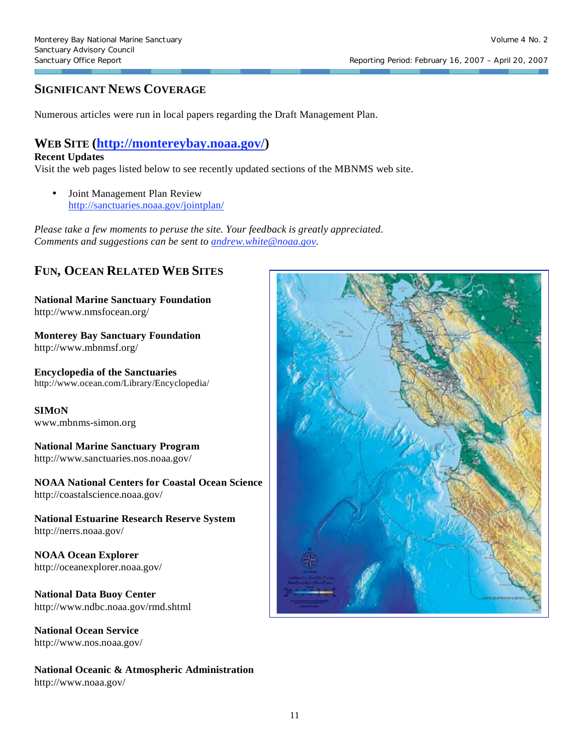Sanctuary Office Report **Report Report Report Report** Reporting Period: February 16, 2007 – April 20, 2007

# **SIGNIFICANT NEWS COVERAGE**

Numerous articles were run in local papers regarding the Draft Management Plan.

# **WEB SITE (http://montereybay.noaa.gov/)**

#### **Recent Updates**

Visit the web pages listed below to see recently updated sections of the MBNMS web site.

• Joint Management Plan Review http://sanctuaries.noaa.gov/jointplan/

*Please take a few moments to peruse the site. Your feedback is greatly appreciated. Comments and suggestions can be sent to andrew.white@noaa.gov.*

# **FUN, OCEAN RELATED WEB SITES**

**National Marine Sanctuary Foundation**  http://www.nmsfocean.org/

**Monterey Bay Sanctuary Foundation**  http://www.mbnmsf.org/

**Encyclopedia of the Sanctuaries**  http://www.ocean.com/Library/Encyclopedia/

**SIMON**  www.mbnms-simon.org

# **National Marine Sanctuary Program**

http://www.sanctuaries.nos.noaa.gov/

**NOAA National Centers for Coastal Ocean Science**  http://coastalscience.noaa.gov/

**National Estuarine Research Reserve System**  http://nerrs.noaa.gov/

**NOAA Ocean Explorer**  http://oceanexplorer.noaa.gov/

**National Data Buoy Center**  http://www.ndbc.noaa.gov/rmd.shtml

**National Ocean Service**  http://www.nos.noaa.gov/

**National Oceanic & Atmospheric Administration**  http://www.noaa.gov/